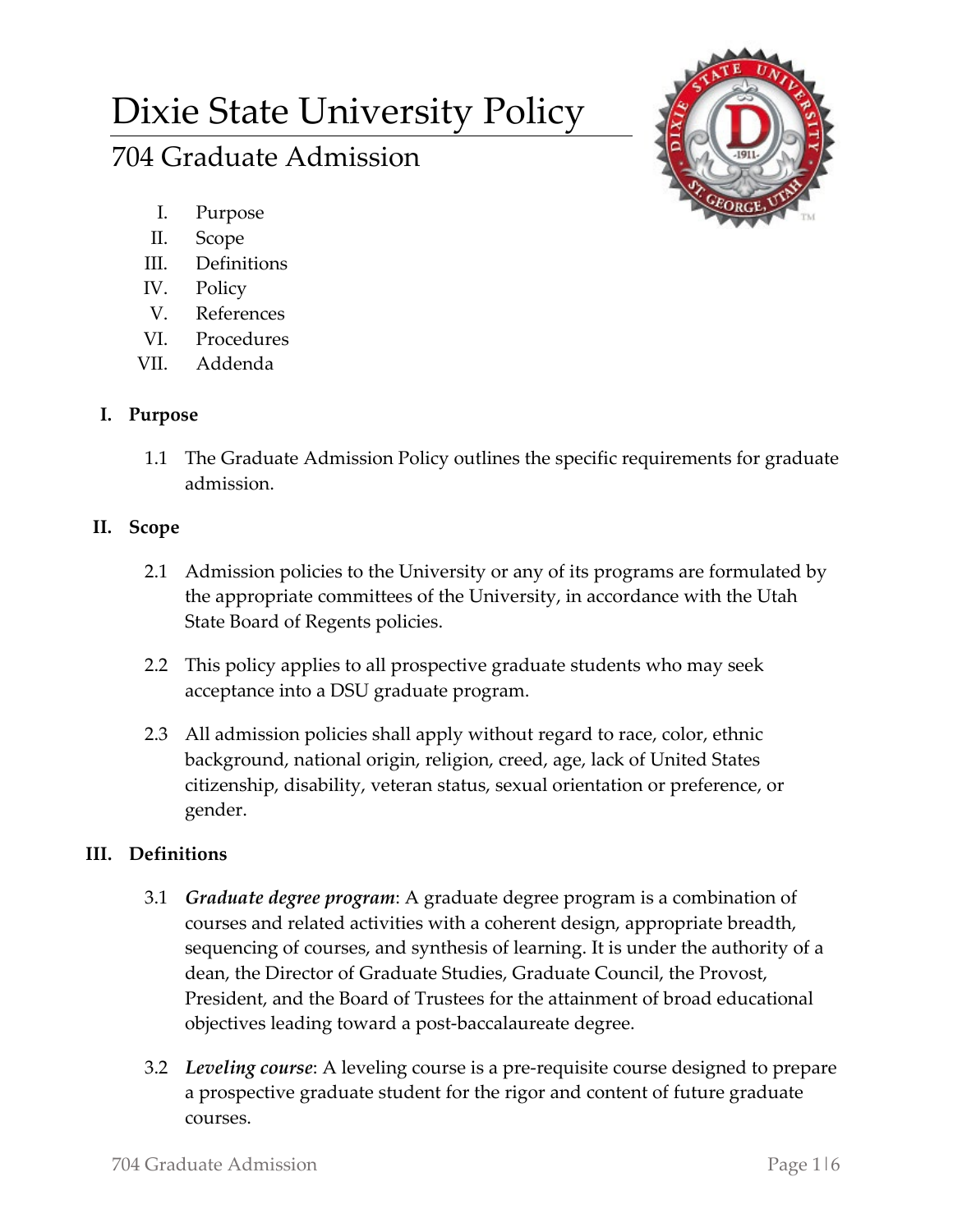# Dixie State University Policy

# 704 Graduate Admission

- I. Purpose
- II. Scope
- III. Definitions
- IV. Policy
- V. References
- VI. Procedures
- VII. Addenda

# **I. Purpose**

1.1 The Graduate Admission Policy outlines the specific requirements for graduate admission.

# **II. Scope**

- 2.1 Admission policies to the University or any of its programs are formulated by the appropriate committees of the University, in accordance with the Utah State Board of Regents policies.
- 2.2 This policy applies to all prospective graduate students who may seek acceptance into a DSU graduate program.
- 2.3 All admission policies shall apply without regard to race, color, ethnic background, national origin, religion, creed, age, lack of United States citizenship, disability, veteran status, sexual orientation or preference, or gender.

### **III. Definitions**

- 3.1 *Graduate degree program*: A graduate degree program is a combination of courses and related activities with a coherent design, appropriate breadth, sequencing of courses, and synthesis of learning. It is under the authority of a dean, the Director of Graduate Studies, Graduate Council, the Provost, President, and the Board of Trustees for the attainment of broad educational objectives leading toward a post-baccalaureate degree.
- 3.2 *Leveling course*: A leveling course is a pre-requisite course designed to prepare a prospective graduate student for the rigor and content of future graduate courses.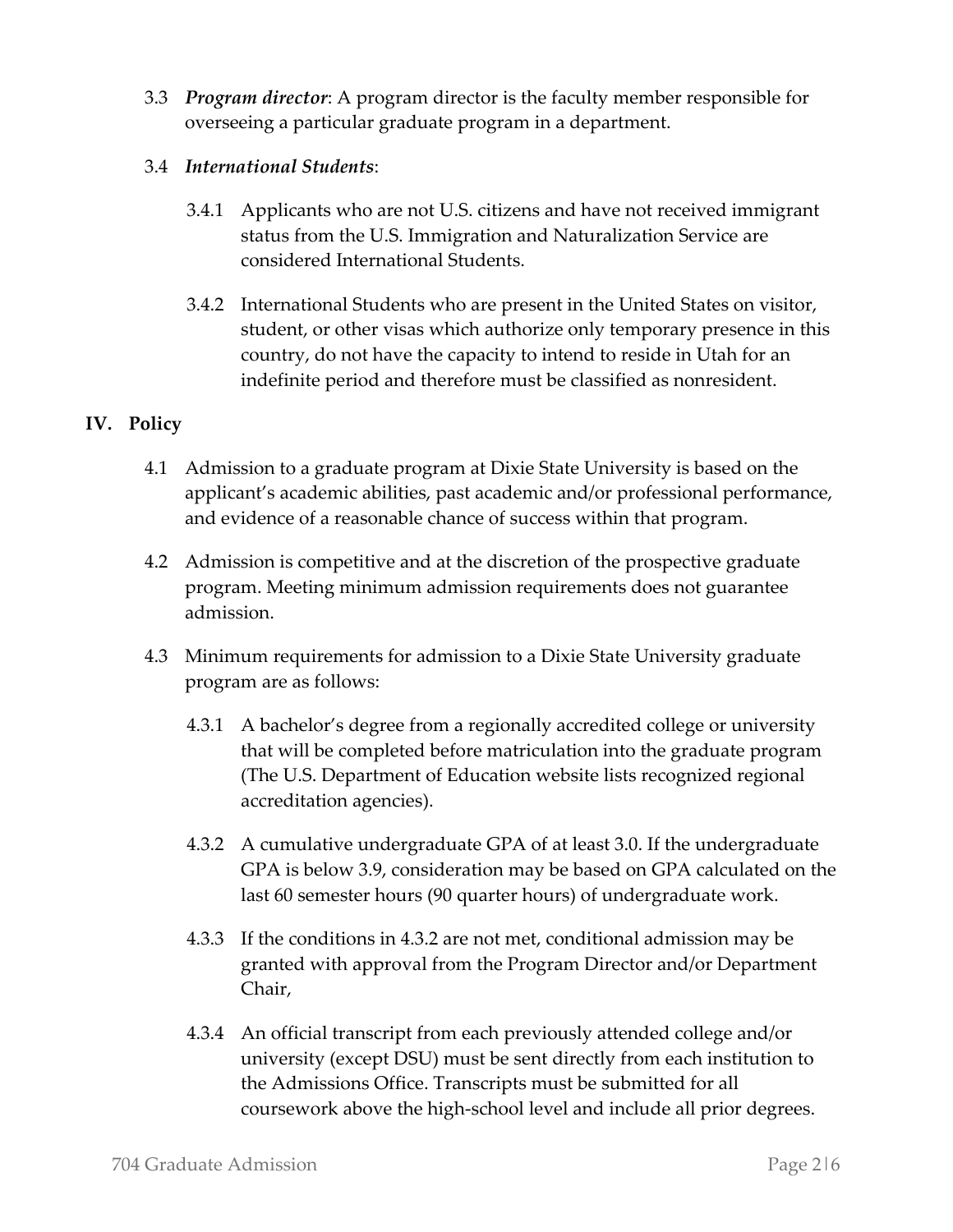- 3.3 *Program director*: A program director is the faculty member responsible for overseeing a particular graduate program in a department.
- 3.4 *International Students*:
	- 3.4.1 Applicants who are not U.S. citizens and have not received immigrant status from the U.S. Immigration and Naturalization Service are considered International Students.
	- 3.4.2 International Students who are present in the United States on visitor, student, or other visas which authorize only temporary presence in this country, do not have the capacity to intend to reside in Utah for an indefinite period and therefore must be classified as nonresident.

#### **IV. Policy**

- 4.1 Admission to a graduate program at Dixie State University is based on the applicant's academic abilities, past academic and/or professional performance, and evidence of a reasonable chance of success within that program.
- 4.2 Admission is competitive and at the discretion of the prospective graduate program. Meeting minimum admission requirements does not guarantee admission.
- 4.3 Minimum requirements for admission to a Dixie State University graduate program are as follows:
	- 4.3.1 A bachelor's degree from a regionally accredited college or university that will be completed before matriculation into the graduate program (The U.S. Department of Education website lists recognized regional accreditation agencies).
	- 4.3.2 A cumulative undergraduate GPA of at least 3.0. If the undergraduate GPA is below 3.9, consideration may be based on GPA calculated on the last 60 semester hours (90 quarter hours) of undergraduate work.
	- 4.3.3 If the conditions in 4.3.2 are not met, conditional admission may be granted with approval from the Program Director and/or Department Chair,
	- 4.3.4 An official transcript from each previously attended college and/or university (except DSU) must be sent directly from each institution to the Admissions Office. Transcripts must be submitted for all coursework above the high-school level and include all prior degrees.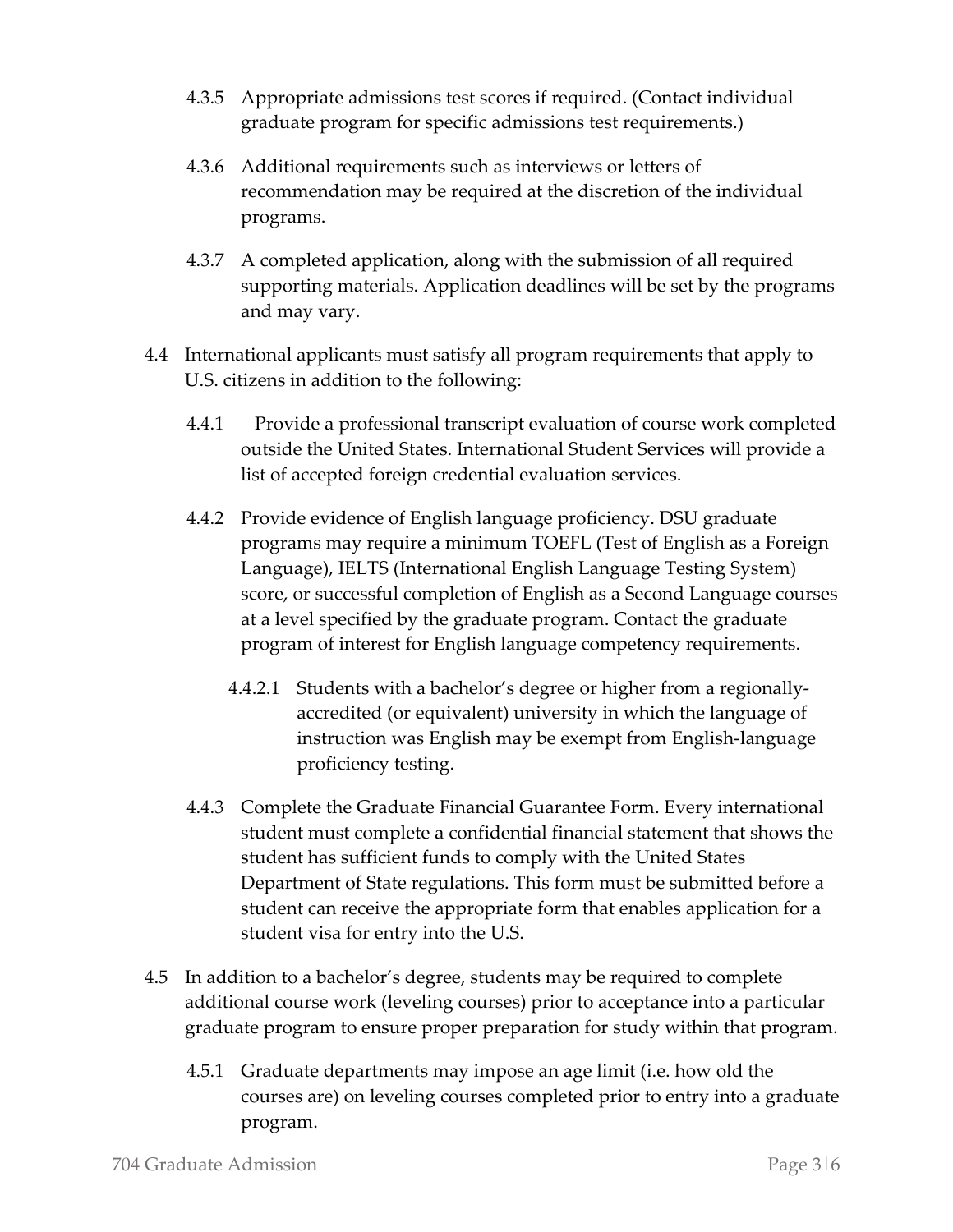- 4.3.5 Appropriate admissions test scores if required. (Contact individual graduate program for specific admissions test requirements.)
- 4.3.6 Additional requirements such as interviews or letters of recommendation may be required at the discretion of the individual programs.
- 4.3.7 A completed application, along with the submission of all required supporting materials. Application deadlines will be set by the programs and may vary.
- 4.4 International applicants must satisfy all program requirements that apply to U.S. citizens in addition to the following:
	- 4.4.1 Provide a professional transcript evaluation of course work completed outside the United States. International Student Services will provide a list of accepted foreign credential evaluation services.
	- 4.4.2 Provide evidence of English language proficiency. DSU graduate programs may require a minimum TOEFL (Test of English as a Foreign Language), IELTS (International English Language Testing System) score, or successful completion of English as a Second Language courses at a level specified by the graduate program. Contact the graduate program of interest for English language competency requirements.
		- 4.4.2.1 Students with a bachelor's degree or higher from a regionallyaccredited (or equivalent) university in which the language of instruction was English may be exempt from English-language proficiency testing.
	- 4.4.3 Complete the Graduate Financial Guarantee Form. Every international student must complete a confidential financial statement that shows the student has sufficient funds to comply with the United States Department of State regulations. This form must be submitted before a student can receive the appropriate form that enables application for a student visa for entry into the U.S.
- 4.5 In addition to a bachelor's degree, students may be required to complete additional course work (leveling courses) prior to acceptance into a particular graduate program to ensure proper preparation for study within that program.
	- 4.5.1 Graduate departments may impose an age limit (i.e. how old the courses are) on leveling courses completed prior to entry into a graduate program.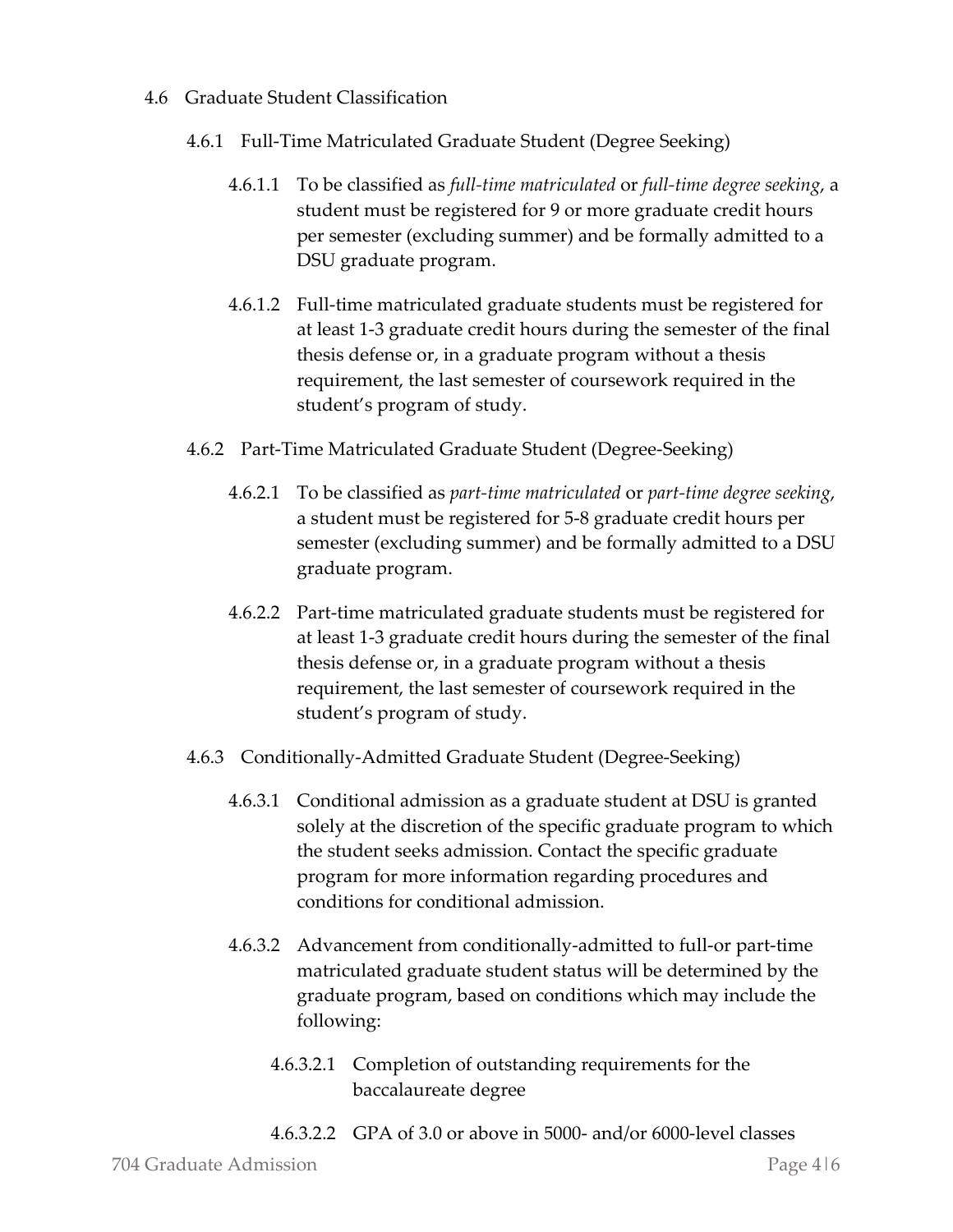#### 4.6 Graduate Student Classification

- 4.6.1 Full-Time Matriculated Graduate Student (Degree Seeking)
	- 4.6.1.1 To be classified as *full-time matriculated* or *full-time degree seeking*, a student must be registered for 9 or more graduate credit hours per semester (excluding summer) and be formally admitted to a DSU graduate program.
	- 4.6.1.2 Full-time matriculated graduate students must be registered for at least 1-3 graduate credit hours during the semester of the final thesis defense or, in a graduate program without a thesis requirement, the last semester of coursework required in the student's program of study.
- 4.6.2 Part-Time Matriculated Graduate Student (Degree-Seeking)
	- 4.6.2.1 To be classified as *part-time matriculated* or *part-time degree seeking*, a student must be registered for 5-8 graduate credit hours per semester (excluding summer) and be formally admitted to a DSU graduate program.
	- 4.6.2.2 Part-time matriculated graduate students must be registered for at least 1-3 graduate credit hours during the semester of the final thesis defense or, in a graduate program without a thesis requirement, the last semester of coursework required in the student's program of study.
- 4.6.3 Conditionally-Admitted Graduate Student (Degree-Seeking)
	- 4.6.3.1 Conditional admission as a graduate student at DSU is granted solely at the discretion of the specific graduate program to which the student seeks admission. Contact the specific graduate program for more information regarding procedures and conditions for conditional admission.
	- 4.6.3.2 Advancement from conditionally-admitted to full-or part-time matriculated graduate student status will be determined by the graduate program, based on conditions which may include the following:
		- 4.6.3.2.1 Completion of outstanding requirements for the baccalaureate degree
		- 4.6.3.2.2 GPA of 3.0 or above in 5000- and/or 6000-level classes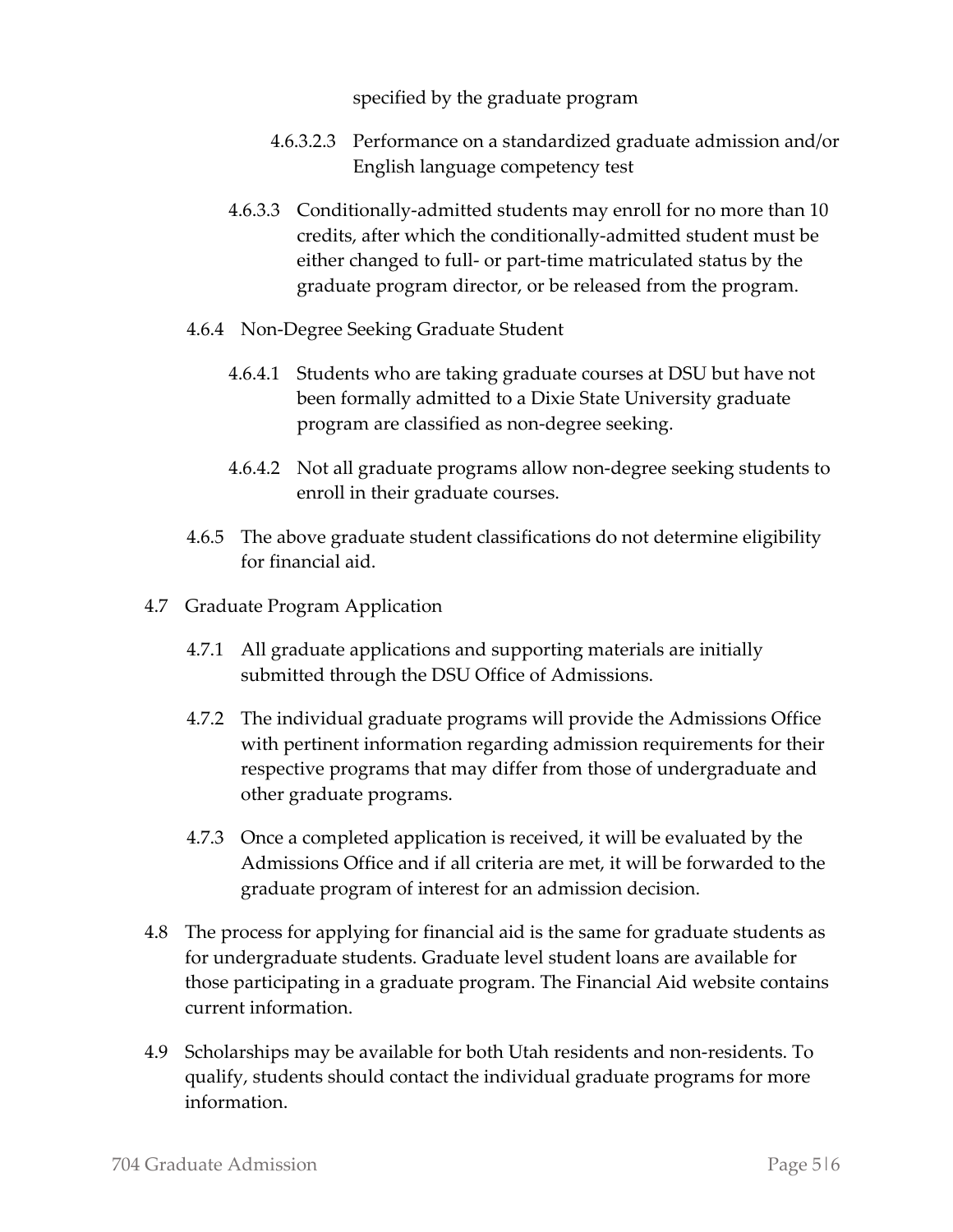specified by the graduate program

- 4.6.3.2.3 Performance on a standardized graduate admission and/or English language competency test
- 4.6.3.3 Conditionally-admitted students may enroll for no more than 10 credits, after which the conditionally-admitted student must be either changed to full- or part-time matriculated status by the graduate program director, or be released from the program.
- 4.6.4 Non-Degree Seeking Graduate Student
	- 4.6.4.1 Students who are taking graduate courses at DSU but have not been formally admitted to a Dixie State University graduate program are classified as non-degree seeking.
	- 4.6.4.2 Not all graduate programs allow non-degree seeking students to enroll in their graduate courses.
- 4.6.5 The above graduate student classifications do not determine eligibility for financial aid.
- 4.7 Graduate Program Application
	- 4.7.1 All graduate applications and supporting materials are initially submitted through the DSU Office of Admissions.
	- 4.7.2 The individual graduate programs will provide the Admissions Office with pertinent information regarding admission requirements for their respective programs that may differ from those of undergraduate and other graduate programs.
	- 4.7.3 Once a completed application is received, it will be evaluated by the Admissions Office and if all criteria are met, it will be forwarded to the graduate program of interest for an admission decision.
- 4.8 The process for applying for financial aid is the same for graduate students as for undergraduate students. Graduate level student loans are available for those participating in a graduate program. The Financial Aid website contains current information.
- 4.9 Scholarships may be available for both Utah residents and non-residents. To qualify, students should contact the individual graduate programs for more information.